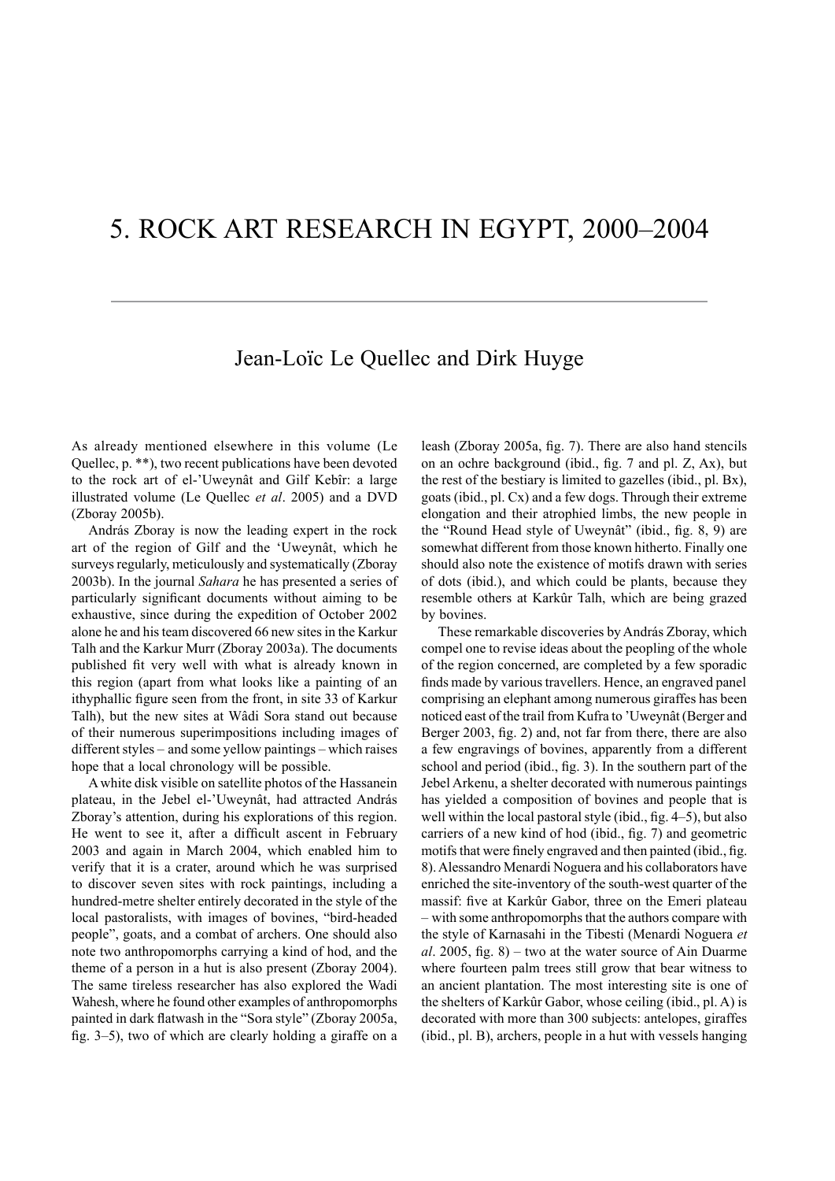## 5. ROCK ART RESEARCH IN EGYPT, 2000–2004

## Jean-Loïc Le Quellec and Dirk Huyge

As already mentioned elsewhere in this volume (Le Quellec, p. \*\*), two recent publications have been devoted to the rock art of el-'Uweynât and Gilf Kebîr: a large illustrated volume (Le Quellec *et al*. 2005) and a DVD (Zboray 2005b).

András Zboray is now the leading expert in the rock art of the region of Gilf and the 'Uweynât, which he surveys regularly, meticulously and systematically (Zboray 2003b). In the journal *Sahara* he has presented a series of particularly significant documents without aiming to be exhaustive, since during the expedition of October 2002 alone he and his team discovered 66 new sites in the Karkur Talh and the Karkur Murr (Zboray 2003a). The documents published fit very well with what is already known in this region (apart from what looks like a painting of an ithyphallic figure seen from the front, in site 33 of Karkur Talh), but the new sites at Wâdi Sora stand out because of their numerous superimpositions including images of different styles – and some yellow paintings – which raises hope that a local chronology will be possible.

A white disk visible on satellite photos of the Hassanein plateau, in the Jebel el-'Uweynât, had attracted András Zboray's attention, during his explorations of this region. He went to see it, after a difficult ascent in February 2003 and again in March 2004, which enabled him to verify that it is a crater, around which he was surprised to discover seven sites with rock paintings, including a hundred-metre shelter entirely decorated in the style of the local pastoralists, with images of bovines, "bird-headed people", goats, and a combat of archers. One should also note two anthropomorphs carrying a kind of hod, and the theme of a person in a hut is also present (Zboray 2004). The same tireless researcher has also explored the Wadi Wahesh, where he found other examples of anthropomorphs painted in dark flatwash in the "Sora style" (Zboray 2005a, fig. 3–5), two of which are clearly holding a giraffe on a leash (Zboray 2005a, fig. 7). There are also hand stencils on an ochre background (ibid., fig. 7 and pl. Z, Ax), but the rest of the bestiary is limited to gazelles (ibid., pl. Bx), goats (ibid., pl. Cx) and a few dogs. Through their extreme elongation and their atrophied limbs, the new people in the "Round Head style of Uweynât" (ibid., fig. 8, 9) are somewhat different from those known hitherto. Finally one should also note the existence of motifs drawn with series of dots (ibid.), and which could be plants, because they resemble others at Karkûr Talh, which are being grazed by bovines.

These remarkable discoveries by András Zboray, which compel one to revise ideas about the peopling of the whole of the region concerned, are completed by a few sporadic finds made by various travellers. Hence, an engraved panel comprising an elephant among numerous giraffes has been noticed east of the trail from Kufra to 'Uweynât (Berger and Berger 2003, fig. 2) and, not far from there, there are also a few engravings of bovines, apparently from a different school and period (ibid., fig. 3). In the southern part of the Jebel Arkenu, a shelter decorated with numerous paintings has yielded a composition of bovines and people that is well within the local pastoral style (ibid., fig. 4–5), but also carriers of a new kind of hod (ibid., fig. 7) and geometric motifs that were finely engraved and then painted (ibid., fig. 8). Alessandro Menardi Noguera and his collaborators have enriched the site-inventory of the south-west quarter of the massif: five at Karkûr Gabor, three on the Emeri plateau – with some anthropomorphs that the authors compare with the style of Karnasahi in the Tibesti (Menardi Noguera *et al*. 2005, fig. 8) – two at the water source of Ain Duarme where fourteen palm trees still grow that bear witness to an ancient plantation. The most interesting site is one of the shelters of Karkûr Gabor, whose ceiling (ibid., pl. A) is decorated with more than 300 subjects: antelopes, giraffes (ibid., pl. B), archers, people in a hut with vessels hanging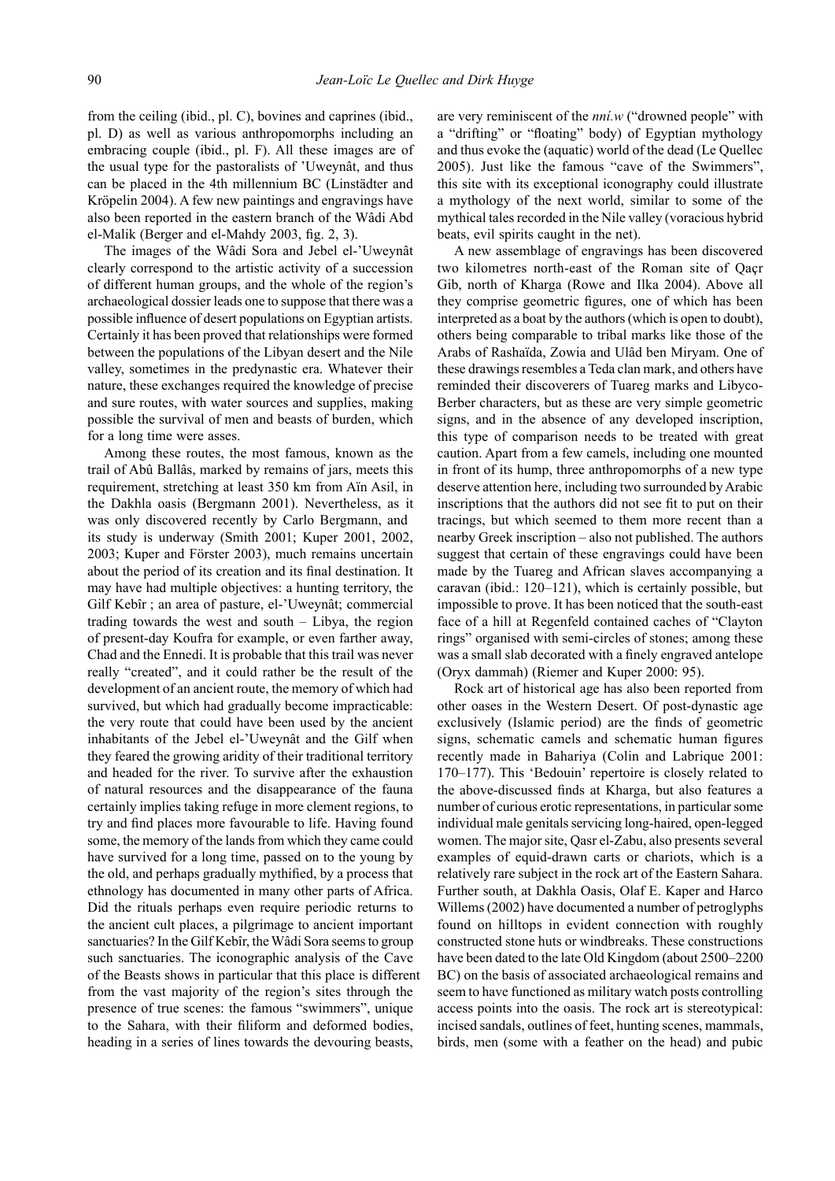from the ceiling (ibid., pl. C), bovines and caprines (ibid., pl. D) as well as various anthropomorphs including an embracing couple (ibid., pl. F). All these images are of the usual type for the pastoralists of 'Uweynât, and thus can be placed in the 4th millennium BC (Linstädter and Kröpelin 2004). A few new paintings and engravings have also been reported in the eastern branch of the Wâdi Abd el-Malik (Berger and el-Mahdy 2003, fig. 2, 3).

The images of the Wâdi Sora and Jebel el-'Uweynât clearly correspond to the artistic activity of a succession of different human groups, and the whole of the region's archaeological dossier leads one to suppose that there was a possible influence of desert populations on Egyptian artists. Certainly it has been proved that relationships were formed between the populations of the Libyan desert and the Nile valley, sometimes in the predynastic era. Whatever their nature, these exchanges required the knowledge of precise and sure routes, with water sources and supplies, making possible the survival of men and beasts of burden, which for a long time were asses.

Among these routes, the most famous, known as the trail of Abû Ballâs, marked by remains of jars, meets this requirement, stretching at least 350 km from Aïn Asil, in the Dakhla oasis (Bergmann 2001). Nevertheless, as it was only discovered recently by Carlo Bergmann, and its study is underway (Smith 2001; Kuper 2001, 2002, 2003; Kuper and Förster 2003), much remains uncertain about the period of its creation and its final destination. It may have had multiple objectives: a hunting territory, the Gilf Kebîr ; an area of pasture, el-'Uweynât; commercial trading towards the west and south – Libya, the region of present-day Koufra for example, or even farther away, Chad and the Ennedi. It is probable that this trail was never really "created", and it could rather be the result of the development of an ancient route, the memory of which had survived, but which had gradually become impracticable: the very route that could have been used by the ancient inhabitants of the Jebel el-'Uweynât and the Gilf when they feared the growing aridity of their traditional territory and headed for the river. To survive after the exhaustion of natural resources and the disappearance of the fauna certainly implies taking refuge in more clement regions, to try and find places more favourable to life. Having found some, the memory of the lands from which they came could have survived for a long time, passed on to the young by the old, and perhaps gradually mythified, by a process that ethnology has documented in many other parts of Africa. Did the rituals perhaps even require periodic returns to the ancient cult places, a pilgrimage to ancient important sanctuaries? In the Gilf Kebîr, the Wâdi Sora seems to group such sanctuaries. The iconographic analysis of the Cave of the Beasts shows in particular that this place is different from the vast majority of the region's sites through the presence of true scenes: the famous "swimmers", unique to the Sahara, with their filiform and deformed bodies, heading in a series of lines towards the devouring beasts,

are very reminiscent of the *nní.w* ("drowned people" with a "drifting" or "floating" body) of Egyptian mythology and thus evoke the (aquatic) world of the dead (Le Quellec 2005). Just like the famous "cave of the Swimmers", this site with its exceptional iconography could illustrate a mythology of the next world, similar to some of the mythical tales recorded in the Nile valley (voracious hybrid beats, evil spirits caught in the net).

A new assemblage of engravings has been discovered two kilometres north-east of the Roman site of Qaçr Gib, north of Kharga (Rowe and Ilka 2004). Above all they comprise geometric figures, one of which has been interpreted as a boat by the authors (which is open to doubt), others being comparable to tribal marks like those of the Arabs of Rashaïda, Zowia and Ulâd ben Miryam. One of these drawings resembles a Teda clan mark, and others have reminded their discoverers of Tuareg marks and Libyco-Berber characters, but as these are very simple geometric signs, and in the absence of any developed inscription, this type of comparison needs to be treated with great caution. Apart from a few camels, including one mounted in front of its hump, three anthropomorphs of a new type deserve attention here, including two surrounded by Arabic inscriptions that the authors did not see fit to put on their tracings, but which seemed to them more recent than a nearby Greek inscription – also not published. The authors suggest that certain of these engravings could have been made by the Tuareg and African slaves accompanying a caravan (ibid.: 120–121), which is certainly possible, but impossible to prove. It has been noticed that the south-east face of a hill at Regenfeld contained caches of "Clayton rings" organised with semi-circles of stones; among these was a small slab decorated with a finely engraved antelope (Oryx dammah) (Riemer and Kuper 2000: 95).

Rock art of historical age has also been reported from other oases in the Western Desert. Of post-dynastic age exclusively (Islamic period) are the finds of geometric signs, schematic camels and schematic human figures recently made in Bahariya (Colin and Labrique 2001: 170–177). This 'Bedouin' repertoire is closely related to the above-discussed finds at Kharga, but also features a number of curious erotic representations, in particular some individual male genitals servicing long-haired, open-legged women. The major site, Qasr el-Zabu, also presents several examples of equid-drawn carts or chariots, which is a relatively rare subject in the rock art of the Eastern Sahara. Further south, at Dakhla Oasis, Olaf E. Kaper and Harco Willems (2002) have documented a number of petroglyphs found on hilltops in evident connection with roughly constructed stone huts or windbreaks. These constructions have been dated to the late Old Kingdom (about 2500–2200 BC) on the basis of associated archaeological remains and seem to have functioned as military watch posts controlling access points into the oasis. The rock art is stereotypical: incised sandals, outlines of feet, hunting scenes, mammals, birds, men (some with a feather on the head) and pubic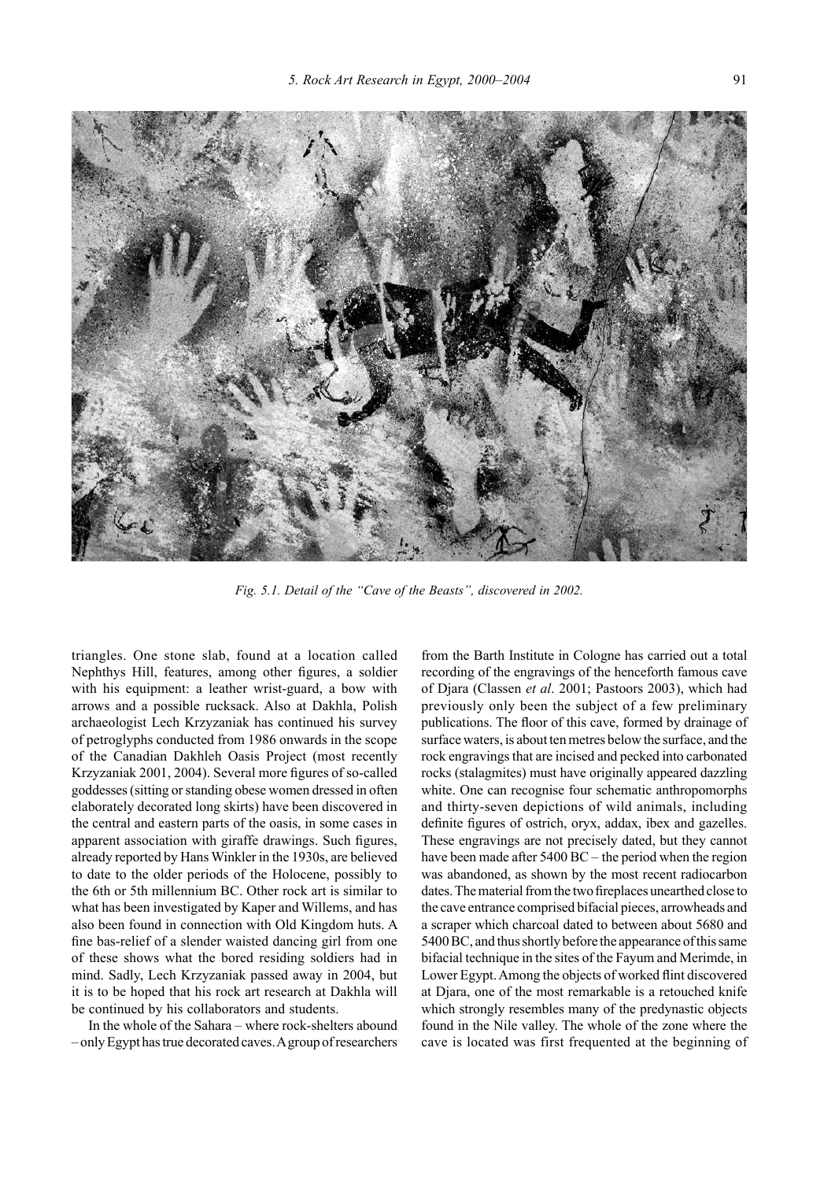

*Fig. 5.1. Detail of the "Cave of the Beasts", discovered in 2002.* 

triangles. One stone slab, found at a location called Nephthys Hill, features, among other figures, a soldier with his equipment: a leather wrist-guard, a bow with arrows and a possible rucksack. Also at Dakhla, Polish archaeologist Lech Krzyzaniak has continued his survey of petroglyphs conducted from 1986 onwards in the scope of the Canadian Dakhleh Oasis Project (most recently Krzyzaniak 2001, 2004). Several more figures of so-called goddesses (sitting or standing obese women dressed in often elaborately decorated long skirts) have been discovered in the central and eastern parts of the oasis, in some cases in apparent association with giraffe drawings. Such figures, already reported by Hans Winkler in the 1930s, are believed to date to the older periods of the Holocene, possibly to the 6th or 5th millennium BC. Other rock art is similar to what has been investigated by Kaper and Willems, and has also been found in connection with Old Kingdom huts. A fine bas-relief of a slender waisted dancing girl from one of these shows what the bored residing soldiers had in mind. Sadly, Lech Krzyzaniak passed away in 2004, but it is to be hoped that his rock art research at Dakhla will be continued by his collaborators and students.

In the whole of the Sahara – where rock-shelters abound – only Egypt has true decorated caves. A group of researchers

from the Barth Institute in Cologne has carried out a total recording of the engravings of the henceforth famous cave of Djara (Classen *et al*. 2001; Pastoors 2003), which had previously only been the subject of a few preliminary publications. The floor of this cave, formed by drainage of surface waters, is about ten metres below the surface, and the rock engravings that are incised and pecked into carbonated rocks (stalagmites) must have originally appeared dazzling white. One can recognise four schematic anthropomorphs and thirty-seven depictions of wild animals, including definite figures of ostrich, oryx, addax, ibex and gazelles. These engravings are not precisely dated, but they cannot have been made after 5400 BC – the period when the region was abandoned, as shown by the most recent radiocarbon dates. The material from the two fireplaces unearthed close to the cave entrance comprised bifacial pieces, arrowheads and a scraper which charcoal dated to between about 5680 and 5400 BC, and thus shortly before the appearance of this same bifacial technique in the sites of the Fayum and Merimde, in Lower Egypt. Among the objects of worked flint discovered at Djara, one of the most remarkable is a retouched knife which strongly resembles many of the predynastic objects found in the Nile valley. The whole of the zone where the cave is located was first frequented at the beginning of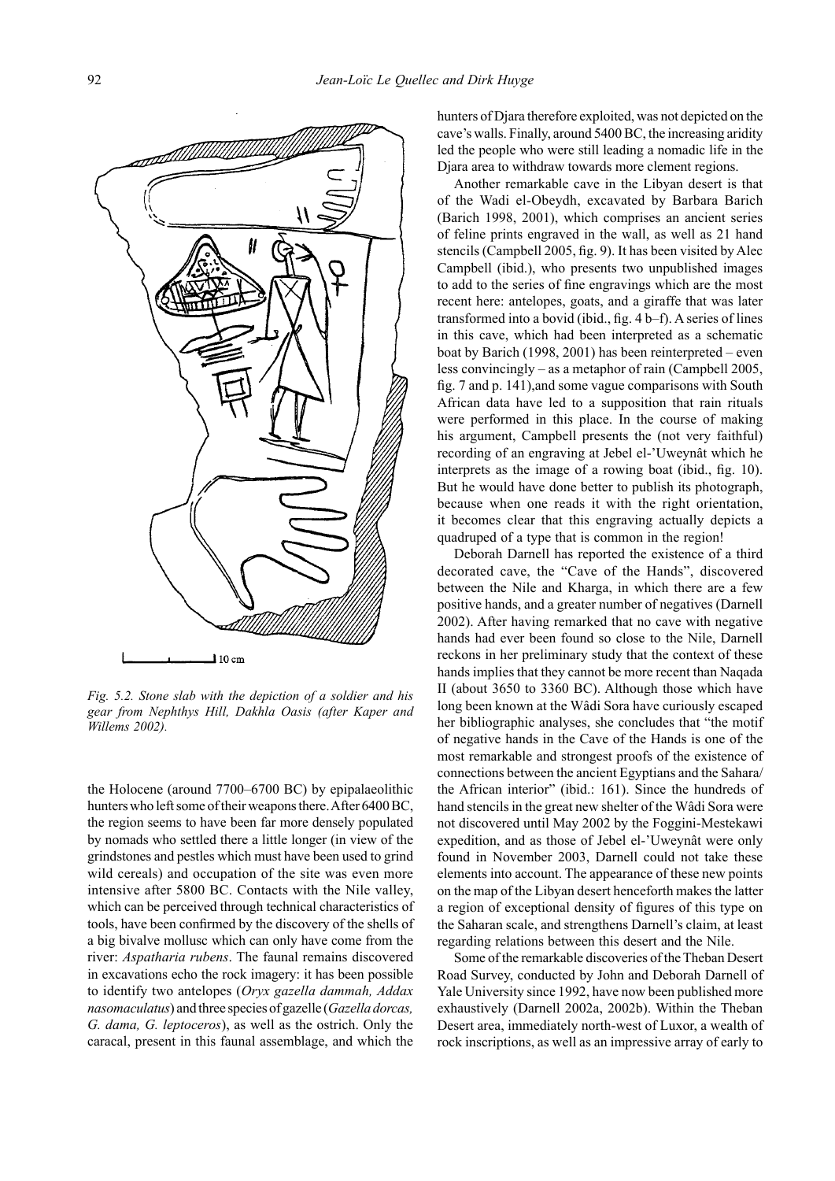

*Fig. 5.2. Stone slab with the depiction of a soldier and his gear from Nephthys Hill, Dakhla Oasis (after Kaper and Willems 2002).*

the Holocene (around 7700–6700 BC) by epipalaeolithic hunters who left some of their weapons there. After 6400 BC, the region seems to have been far more densely populated by nomads who settled there a little longer (in view of the grindstones and pestles which must have been used to grind wild cereals) and occupation of the site was even more intensive after 5800 BC. Contacts with the Nile valley, which can be perceived through technical characteristics of tools, have been confirmed by the discovery of the shells of a big bivalve mollusc which can only have come from the river: *Aspatharia rubens*. The faunal remains discovered in excavations echo the rock imagery: it has been possible to identify two antelopes (*Oryx gazella dammah, Addax nasomaculatus*) and three species of gazelle (*Gazella dorcas, G. dama, G. leptoceros*), as well as the ostrich. Only the caracal, present in this faunal assemblage, and which the

hunters of Djara therefore exploited, was not depicted on the cave's walls. Finally, around 5400 BC, the increasing aridity led the people who were still leading a nomadic life in the Djara area to withdraw towards more clement regions.

Another remarkable cave in the Libyan desert is that of the Wadi el-Obeydh, excavated by Barbara Barich (Barich 1998, 2001), which comprises an ancient series of feline prints engraved in the wall, as well as 21 hand stencils (Campbell 2005, fig. 9). It has been visited by Alec Campbell (ibid.), who presents two unpublished images to add to the series of fine engravings which are the most recent here: antelopes, goats, and a giraffe that was later transformed into a bovid (ibid., fig. 4 b–f). A series of lines in this cave, which had been interpreted as a schematic boat by Barich (1998, 2001) has been reinterpreted – even less convincingly – as a metaphor of rain (Campbell 2005, fig. 7 and p. 141),and some vague comparisons with South African data have led to a supposition that rain rituals were performed in this place. In the course of making his argument, Campbell presents the (not very faithful) recording of an engraving at Jebel el-'Uweynât which he interprets as the image of a rowing boat (ibid., fig. 10). But he would have done better to publish its photograph, because when one reads it with the right orientation, it becomes clear that this engraving actually depicts a quadruped of a type that is common in the region!

Deborah Darnell has reported the existence of a third decorated cave, the "Cave of the Hands", discovered between the Nile and Kharga, in which there are a few positive hands, and a greater number of negatives (Darnell 2002). After having remarked that no cave with negative hands had ever been found so close to the Nile, Darnell reckons in her preliminary study that the context of these hands implies that they cannot be more recent than Naqada II (about 3650 to 3360 BC). Although those which have long been known at the Wâdi Sora have curiously escaped her bibliographic analyses, she concludes that "the motif of negative hands in the Cave of the Hands is one of the most remarkable and strongest proofs of the existence of connections between the ancient Egyptians and the Sahara/ the African interior" (ibid.: 161). Since the hundreds of hand stencils in the great new shelter of the Wâdi Sora were not discovered until May 2002 by the Foggini-Mestekawi expedition, and as those of Jebel el-'Uweynât were only found in November 2003, Darnell could not take these elements into account. The appearance of these new points on the map of the Libyan desert henceforth makes the latter a region of exceptional density of figures of this type on the Saharan scale, and strengthens Darnell's claim, at least regarding relations between this desert and the Nile.

Some of the remarkable discoveries of the Theban Desert Road Survey, conducted by John and Deborah Darnell of Yale University since 1992, have now been published more exhaustively (Darnell 2002a, 2002b). Within the Theban Desert area, immediately north-west of Luxor, a wealth of rock inscriptions, as well as an impressive array of early to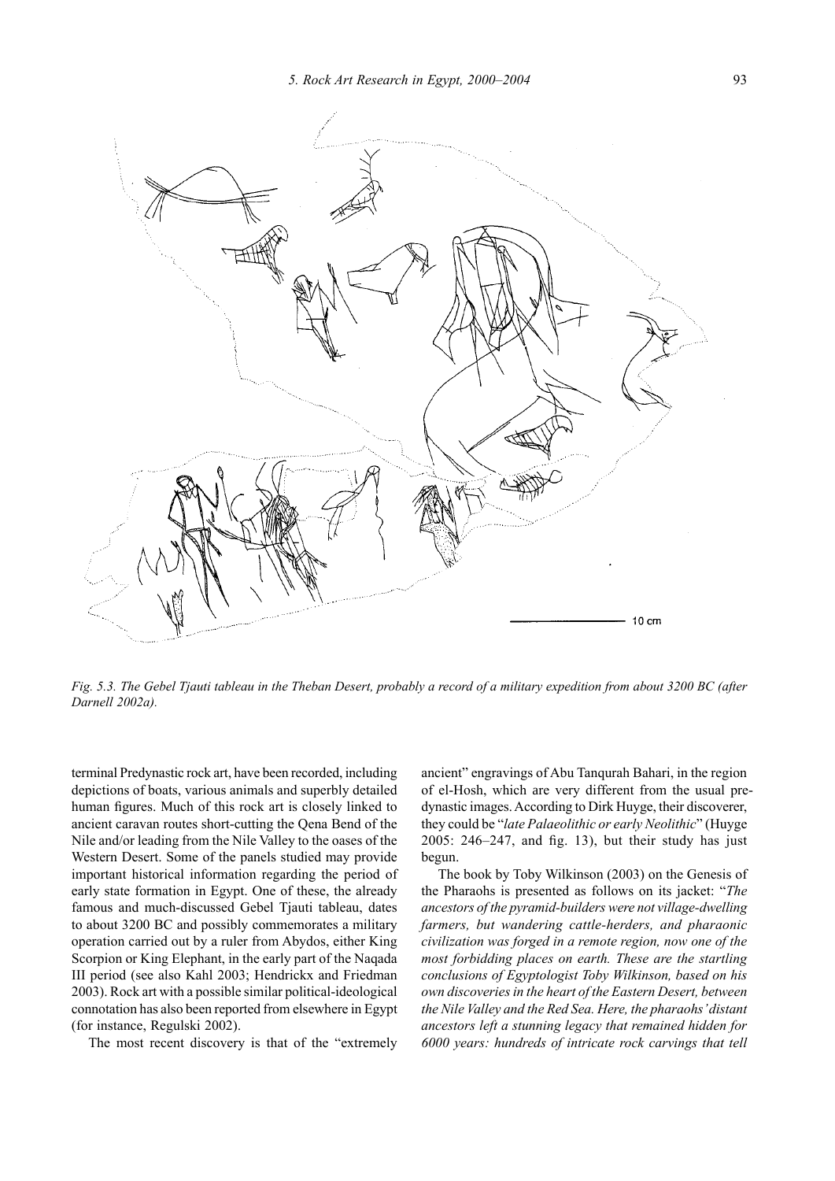

*Fig. 5.3. The Gebel Tjauti tableau in the Theban Desert, probably a record of a military expedition from about 3200 BC (after Darnell 2002a).*

terminal Predynastic rock art, have been recorded, including depictions of boats, various animals and superbly detailed human figures. Much of this rock art is closely linked to ancient caravan routes short-cutting the Qena Bend of the Nile and/or leading from the Nile Valley to the oases of the Western Desert. Some of the panels studied may provide important historical information regarding the period of early state formation in Egypt. One of these, the already famous and much-discussed Gebel Tjauti tableau, dates to about 3200 BC and possibly commemorates a military operation carried out by a ruler from Abydos, either King Scorpion or King Elephant, in the early part of the Naqada III period (see also Kahl 2003; Hendrickx and Friedman 2003). Rock art with a possible similar political-ideological connotation has also been reported from elsewhere in Egypt (for instance, Regulski 2002).

The most recent discovery is that of the "extremely

ancient" engravings of Abu Tanqurah Bahari, in the region of el-Hosh, which are very different from the usual predynastic images. According to Dirk Huyge, their discoverer, they could be "*late Palaeolithic or early Neolithic*" (Huyge 2005: 246–247, and fig. 13), but their study has just begun.

The book by Toby Wilkinson (2003) on the Genesis of the Pharaohs is presented as follows on its jacket: "*The ancestors of the pyramid-builders were not village-dwelling farmers, but wandering cattle-herders, and pharaonic civilization was forged in a remote region, now one of the most forbidding places on earth. These are the startling conclusions of Egyptologist Toby Wilkinson, based on his own discoveries in the heart of the Eastern Desert, between the Nile Valley and the Red Sea. Here, the pharaohs' distant ancestors left a stunning legacy that remained hidden for 6000 years: hundreds of intricate rock carvings that tell*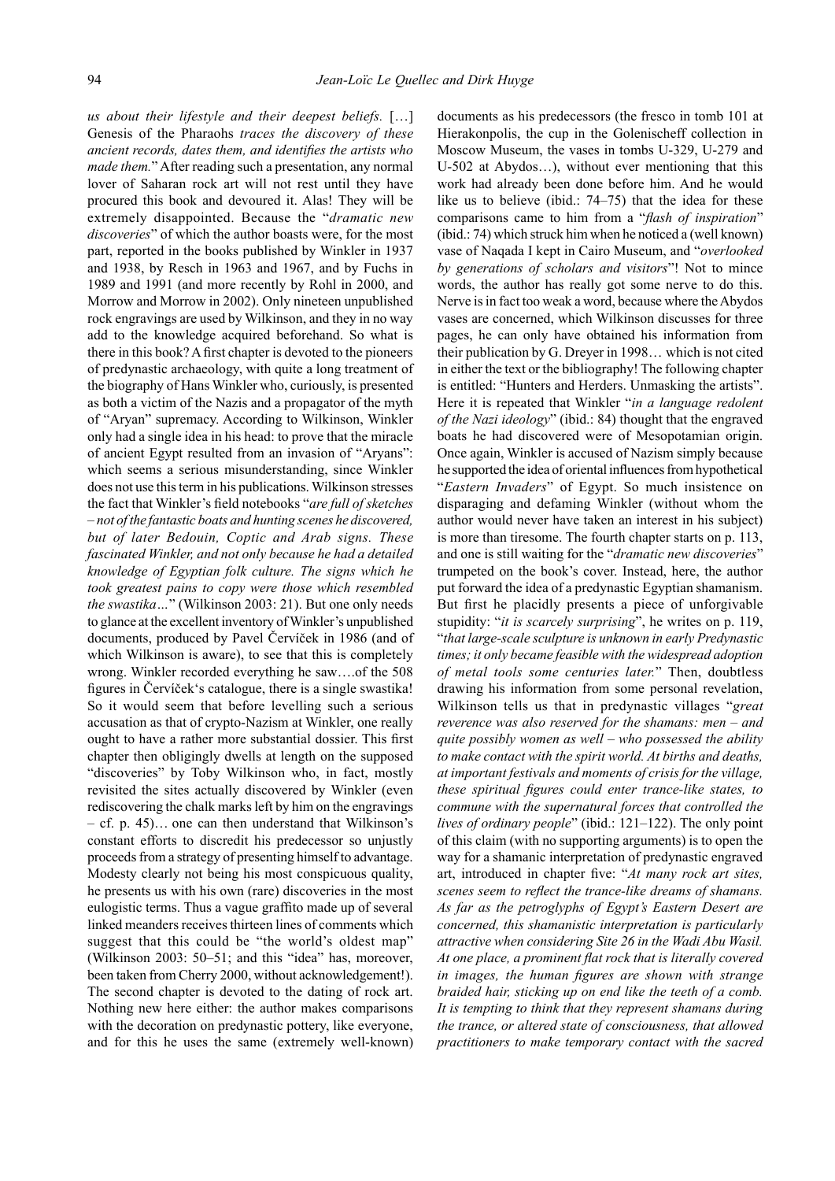*us about their lifestyle and their deepest beliefs.* […] Genesis of the Pharaohs *traces the discovery of these ancient records, dates them, and identifies the artists who made them.*" After reading such a presentation, any normal lover of Saharan rock art will not rest until they have procured this book and devoured it. Alas! They will be extremely disappointed. Because the "*dramatic new discoveries*" of which the author boasts were, for the most part, reported in the books published by Winkler in 1937 and 1938, by Resch in 1963 and 1967, and by Fuchs in 1989 and 1991 (and more recently by Rohl in 2000, and Morrow and Morrow in 2002). Only nineteen unpublished rock engravings are used by Wilkinson, and they in no way add to the knowledge acquired beforehand. So what is there in this book? A first chapter is devoted to the pioneers of predynastic archaeology, with quite a long treatment of the biography of Hans Winkler who, curiously, is presented as both a victim of the Nazis and a propagator of the myth of "Aryan" supremacy. According to Wilkinson, Winkler only had a single idea in his head: to prove that the miracle of ancient Egypt resulted from an invasion of "Aryans": which seems a serious misunderstanding, since Winkler does not use this term in his publications. Wilkinson stresses the fact that Winkler's field notebooks "*are full of sketches – not of the fantastic boats and hunting scenes he discovered, but of later Bedouin, Coptic and Arab signs. These fascinated Winkler, and not only because he had a detailed knowledge of Egyptian folk culture. The signs which he took greatest pains to copy were those which resembled the swastika…*" (Wilkinson 2003: 21). But one only needs to glance at the excellent inventory of Winkler's unpublished documents, produced by Pavel Červíček in 1986 (and of which Wilkinson is aware), to see that this is completely wrong. Winkler recorded everything he saw….of the 508 figures in Červíček's catalogue, there is a single swastika! So it would seem that before levelling such a serious accusation as that of crypto-Nazism at Winkler, one really ought to have a rather more substantial dossier. This first chapter then obligingly dwells at length on the supposed "discoveries" by Toby Wilkinson who, in fact, mostly revisited the sites actually discovered by Winkler (even rediscovering the chalk marks left by him on the engravings – cf. p. 45)… one can then understand that Wilkinson's constant efforts to discredit his predecessor so unjustly proceeds from a strategy of presenting himself to advantage. Modesty clearly not being his most conspicuous quality, he presents us with his own (rare) discoveries in the most eulogistic terms. Thus a vague graffito made up of several linked meanders receives thirteen lines of comments which suggest that this could be "the world's oldest map" (Wilkinson 2003: 50–51; and this "idea" has, moreover, been taken from Cherry 2000, without acknowledgement!). The second chapter is devoted to the dating of rock art. Nothing new here either: the author makes comparisons with the decoration on predynastic pottery, like everyone, and for this he uses the same (extremely well-known)

documents as his predecessors (the fresco in tomb 101 at Hierakonpolis, the cup in the Golenischeff collection in Moscow Museum, the vases in tombs U-329, U-279 and U-502 at Abydos…), without ever mentioning that this work had already been done before him. And he would like us to believe (ibid.: 74–75) that the idea for these comparisons came to him from a "*flash of inspiration*" (ibid.: 74) which struck him when he noticed a (well known) vase of Naqada I kept in Cairo Museum, and "*overlooked by generations of scholars and visitors*"! Not to mince words, the author has really got some nerve to do this. Nerve is in fact too weak a word, because where the Abydos vases are concerned, which Wilkinson discusses for three pages, he can only have obtained his information from their publication by G. Dreyer in 1998… which is not cited in either the text or the bibliography! The following chapter is entitled: "Hunters and Herders. Unmasking the artists". Here it is repeated that Winkler "*in a language redolent of the Nazi ideology*" (ibid.: 84) thought that the engraved boats he had discovered were of Mesopotamian origin. Once again, Winkler is accused of Nazism simply because he supported the idea of oriental influences from hypothetical "*Eastern Invaders*" of Egypt. So much insistence on disparaging and defaming Winkler (without whom the author would never have taken an interest in his subject) is more than tiresome. The fourth chapter starts on p. 113, and one is still waiting for the "*dramatic new discoveries*" trumpeted on the book's cover. Instead, here, the author put forward the idea of a predynastic Egyptian shamanism. But first he placidly presents a piece of unforgivable stupidity: "*it is scarcely surprising*", he writes on p. 119, "*that large-scale sculpture is unknown in early Predynastic times; it only became feasible with the widespread adoption of metal tools some centuries later.*" Then, doubtless drawing his information from some personal revelation, Wilkinson tells us that in predynastic villages "*great reverence was also reserved for the shamans: men – and quite possibly women as well – who possessed the ability to make contact with the spirit world. At births and deaths, at important festivals and moments of crisis for the village, these spiritual figures could enter trance-like states, to commune with the supernatural forces that controlled the lives of ordinary people*" (ibid.: 121–122). The only point of this claim (with no supporting arguments) is to open the way for a shamanic interpretation of predynastic engraved art, introduced in chapter five: "*At many rock art sites, scenes seem to reflect the trance-like dreams of shamans. As far as the petroglyphs of Egypt's Eastern Desert are concerned, this shamanistic interpretation is particularly attractive when considering Site 26 in the Wadi Abu Wasil. At one place, a prominent flat rock that is literally covered in images, the human figures are shown with strange braided hair, sticking up on end like the teeth of a comb. It is tempting to think that they represent shamans during the trance, or altered state of consciousness, that allowed practitioners to make temporary contact with the sacred*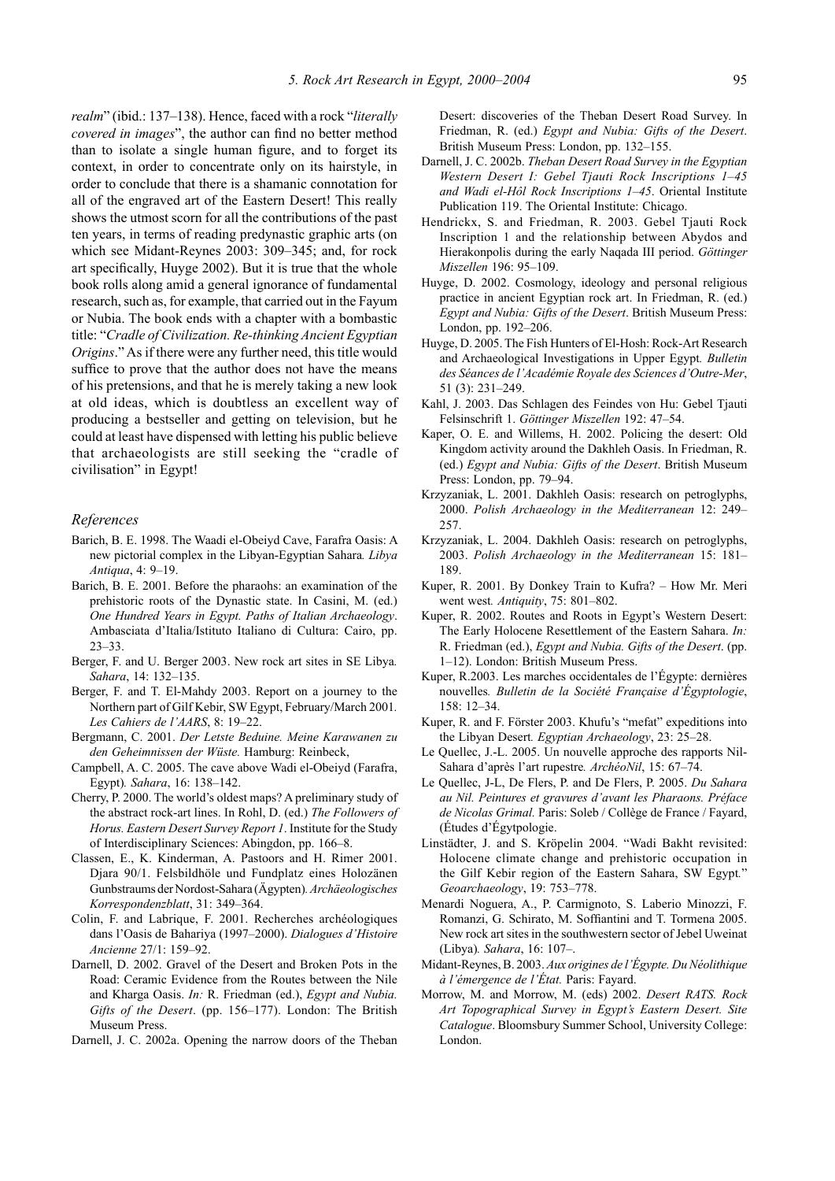*realm*" (ibid.: 137–138). Hence, faced with a rock "*literally covered in images*", the author can find no better method than to isolate a single human figure, and to forget its context, in order to concentrate only on its hairstyle, in order to conclude that there is a shamanic connotation for all of the engraved art of the Eastern Desert! This really shows the utmost scorn for all the contributions of the past ten years, in terms of reading predynastic graphic arts (on which see Midant-Reynes 2003: 309–345; and, for rock art specifically, Huyge 2002). But it is true that the whole book rolls along amid a general ignorance of fundamental research, such as, for example, that carried out in the Fayum or Nubia. The book ends with a chapter with a bombastic title: "*Cradle of Civilization. Re-thinking Ancient Egyptian Origins*." As if there were any further need, this title would suffice to prove that the author does not have the means of his pretensions, and that he is merely taking a new look at old ideas, which is doubtless an excellent way of producing a bestseller and getting on television, but he could at least have dispensed with letting his public believe that archaeologists are still seeking the "cradle of civilisation" in Egypt!

## *References*

- Barich, B. E. 1998. The Waadi el-Obeiyd Cave, Farafra Oasis: A new pictorial complex in the Libyan-Egyptian Sahara*. Libya Antiqua*, 4: 9–19.
- Barich, B. E. 2001. Before the pharaohs: an examination of the prehistoric roots of the Dynastic state. In Casini, M. (ed.) *One Hundred Years in Egypt. Paths of Italian Archaeology*. Ambasciata d'Italia/Istituto Italiano di Cultura: Cairo, pp. 23–33.
- Berger, F. and U. Berger 2003. New rock art sites in SE Libya*. Sahara*, 14: 132–135.
- Berger, F. and T. El-Mahdy 2003. Report on a journey to the Northern part of Gilf Kebir, SW Egypt, February/March 2001*. Les Cahiers de l'AARS*, 8: 19–22.
- Bergmann, C. 2001. *Der Letste Beduine. Meine Karawanen zu den Geheimnissen der Wüste.* Hamburg: Reinbeck,
- Campbell, A. C. 2005. The cave above Wadi el-Obeiyd (Farafra, Egypt)*. Sahara*, 16: 138–142.
- Cherry, P. 2000. The world's oldest maps? A preliminary study of the abstract rock-art lines. In Rohl, D. (ed.) *The Followers of Horus. Eastern Desert Survey Report 1*. Institute for the Study of Interdisciplinary Sciences: Abingdon, pp. 166–8.
- Classen, E., K. Kinderman, A. Pastoors and H. Rimer 2001. Djara 90/1. Felsbildhöle und Fundplatz eines Holozänen Gunbstraums der Nordost-Sahara (Ägypten)*.Archäeologisches Korrespondenzblatt*, 31: 349–364.
- Colin, F. and Labrique, F. 2001. Recherches archéologiques dans l'Oasis de Bahariya (1997–2000). *Dialogues d'Histoire Ancienne* 27/1: 159–92.
- Darnell, D. 2002. Gravel of the Desert and Broken Pots in the Road: Ceramic Evidence from the Routes between the Nile and Kharga Oasis. *In:* R. Friedman (ed.), *Egypt and Nubia. Gifts of the Desert*. (pp. 156–177). London: The British Museum Press.
- Darnell, J. C. 2002a. Opening the narrow doors of the Theban

Desert: discoveries of the Theban Desert Road Survey. In Friedman, R. (ed.) *Egypt and Nubia: Gifts of the Desert*. British Museum Press: London, pp. 132–155.

- Darnell, J. C. 2002b. *Theban Desert Road Survey in the Egyptian Western Desert I: Gebel Tjauti Rock Inscriptions 1–45 and Wadi el-Hôl Rock Inscriptions 1–45*. Oriental Institute Publication 119. The Oriental Institute: Chicago.
- Hendrickx, S. and Friedman, R. 2003. Gebel Tjauti Rock Inscription 1 and the relationship between Abydos and Hierakonpolis during the early Naqada III period. *Göttinger Miszellen* 196: 95–109.
- Huyge, D. 2002. Cosmology, ideology and personal religious practice in ancient Egyptian rock art. In Friedman, R. (ed.) *Egypt and Nubia: Gifts of the Desert*. British Museum Press: London, pp. 192–206.
- Huyge, D. 2005. The Fish Hunters of El-Hosh: Rock-Art Research and Archaeological Investigations in Upper Egypt*. Bulletin des Séances de l'Académie Royale des Sciences d'Outre-Mer*, 51 (3): 231–249.
- Kahl, J. 2003. Das Schlagen des Feindes von Hu: Gebel Tjauti Felsinschrift 1. *Göttinger Miszellen* 192: 47–54.
- Kaper, O. E. and Willems, H. 2002. Policing the desert: Old Kingdom activity around the Dakhleh Oasis. In Friedman, R. (ed.) *Egypt and Nubia: Gifts of the Desert*. British Museum Press: London, pp. 79–94.
- Krzyzaniak, L. 2001. Dakhleh Oasis: research on petroglyphs, 2000. *Polish Archaeology in the Mediterranean* 12: 249– 257.
- Krzyzaniak, L. 2004. Dakhleh Oasis: research on petroglyphs, 2003. *Polish Archaeology in the Mediterranean* 15: 181– 189.
- Kuper, R. 2001. By Donkey Train to Kufra? How Mr. Meri went west*. Antiquity*, 75: 801–802.
- Kuper, R. 2002. Routes and Roots in Egypt's Western Desert: The Early Holocene Resettlement of the Eastern Sahara. *In:*  R. Friedman (ed.), *Egypt and Nubia. Gifts of the Desert*. (pp. 1–12). London: British Museum Press.
- Kuper, R.2003. Les marches occidentales de l'Égypte: dernières nouvelles*. Bulletin de la Société Française d'Égyptologie*, 158: 12–34.
- Kuper, R. and F. Förster 2003. Khufu's "mefat" expeditions into the Libyan Desert*. Egyptian Archaeology*, 23: 25–28.
- Le Quellec, J.-L. 2005. Un nouvelle approche des rapports Nil-Sahara d'après l'art rupestre*. ArchéoNil*, 15: 67–74.
- Le Quellec, J-L, De Flers, P. and De Flers, P. 2005. *Du Sahara au Nil. Peintures et gravures d'avant les Pharaons. Préface de Nicolas Grimal.* Paris: Soleb / Collège de France / Fayard, (Études d'Égytpologie.
- Linstädter, J. and S. Kröpelin 2004. "Wadi Bakht revisited: Holocene climate change and prehistoric occupation in the Gilf Kebir region of the Eastern Sahara, SW Egypt*.*" *Geoarchaeology*, 19: 753–778.
- Menardi Noguera, A., P. Carmignoto, S. Laberio Minozzi, F. Romanzi, G. Schirato, M. Soffiantini and T. Tormena 2005. New rock art sites in the southwestern sector of Jebel Uweinat (Libya)*. Sahara*, 16: 107–.
- Midant-Reynes, B. 2003. *Aux origines de l'Égypte. Du Néolithique à l'émergence de l'État.* Paris: Fayard.
- Morrow, M. and Morrow, M. (eds) 2002. *Desert RATS. Rock Art Topographical Survey in Egypt's Eastern Desert. Site Catalogue*. Bloomsbury Summer School, University College: London.